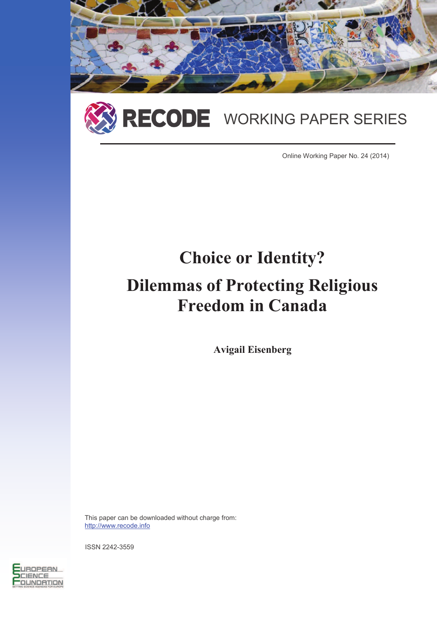



Online Working Paper No. 24 (2014)

# **Choice or Identity? Dilemmas of Protecting Religious Freedom in Canada**

**Avigail Eisenberg** 

This paper can be downloaded without charge from: http://www.recode.info

ISSN 2242-3559

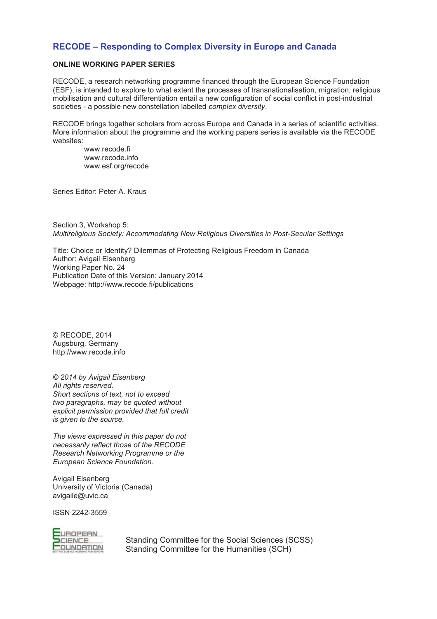# **RECODE – Responding to Complex Diversity in Europe and Canada**

# **ONLINE WORKING PAPER SERIES**

RECODE, a research networking programme financed through the European Science Foundation (ESF), is intended to explore to what extent the processes of transnationalisation, migration, religious mobilisation and cultural differentiation entail a new configuration of social conflict in post-industrial societies - a possible new constellation labelled *complex diversity*.

RECODE brings together scholars from across Europe and Canada in a series of scientific activities. More information about the programme and the working papers series is available via the RECODE websites:

www.recode.fi www.recode.info www.esf.org/recode

Series Editor: Peter A. Kraus

Section 3, Workshop 5: *Multireligious Society: Accommodating New Religious Diversities in Post-Secular Settings* 

Title: Choice or Identity? Dilemmas of Protecting Religious Freedom in Canada Author: Avigail Eisenberg Working Paper No. 24 Publication Date of this Version: January 2014 Webpage: http://www.recode.fi/publications

© RECODE, 2014 Augsburg, Germany http://www.recode.info

*© 2014 by Avigail Eisenberg All rights reserved. Short sections of text, not to exceed two paragraphs, may be quoted without explicit permission provided that full credit is given to the source.* 

*The views expressed in this paper do not necessarily reflect those of the RECODE Research Networking Programme or the European Science Foundation.* 

Avigail Eisenberg University of Victoria (Canada) avigaile@uvic.ca

ISSN 2242-3559



Standing Committee for the Social Sciences (SCSS) Standing Committee for the Humanities (SCH)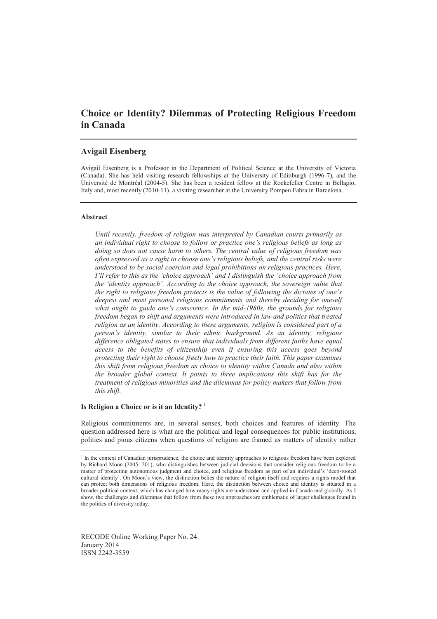# **Choice or Identity? Dilemmas of Protecting Religious Freedom in Canada**

## **Avigail Eisenberg**

Avigail Eisenberg is a Professor in the Department of Political Science at the University of Victoria (Canada). She has held visiting research fellowships at the University of Edinburgh (1996-7), and the Université de Montréal (2004-5). She has been a resident fellow at the Rockefeller Centre in Bellagio, Italy and, most recently (2010-11), a visiting researcher at the University Pompeu Fabra in Barcelona.

#### **Abstract**

 $\overline{a}$ 

*Until recently, freedom of religion was interpreted by Canadian courts primarily as an individual right to choose to follow or practice one's religious beliefs as long as doing so does not cause harm to others. The central value of religious freedom was often expressed as a right to choose one's religious beliefs, and the central risks were understood to be social coercion and legal prohibitions on religious practices. Here, I'll refer to this as the 'choice approach' and I distinguish the 'choice approach from the 'identity approach'. According to the choice approach, the sovereign value that the right to religious freedom protects is the value of following the dictates of one's deepest and most personal religious commitments and thereby deciding for oneself what ought to guide one's conscience. In the mid-1980s, the grounds for religious freedom began to shift and arguments were introduced in law and politics that treated religion as an identity. According to these arguments, religion is considered part of a person's identity, similar to their ethnic background. As an identity, religious difference obligated states to ensure that individuals from different faiths have equal access to the benefits of citizenship even if ensuring this access goes beyond protecting their right to choose freely how to practice their faith. This paper examines this shift from religious freedom as choice to identity within Canada and also within the broader global context. It points to three implications this shift has for the treatment of religious minorities and the dilemmas for policy makers that follow from this shift.* 

### **Is Religion a Choice or is it an Identity?** <sup>1</sup>

Religious commitments are, in several senses, both choices and features of identity. The question addressed here is what are the political and legal consequences for public institutions, polities and pious citizens when questions of religion are framed as matters of identity rather

<sup>&</sup>lt;sup>1</sup> In the context of Canadian jurisprudence, the choice and identity approaches to religious freedom have been explored by Richard Moon (2005: 201), who distinguishes between judicial decisions that consider religious freedom to be a matter of protecting autonomous judgment and choice, and religious freedom as part of an individual's 'deep-rooted cultural identity'. On Moon's view, the distinction belies the nature of religion itself and requires a rights model that can protect both dimensions of religious freedom. Here, the distinction between choice and identity is situated in a broader political context, which has changed how many rights are understood and applied in Canada and globally. As I show, the challenges and dilemmas that follow from these two approaches are emblematic of larger challenges found in the politics of diversity today.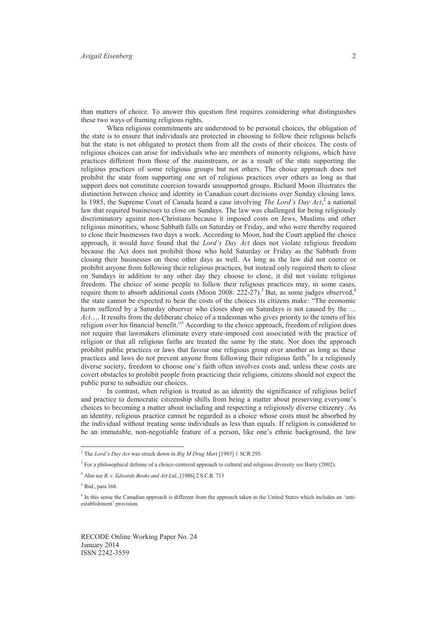than matters of choice. To answer this question first requires considering what distinguishes these two ways of framing religious rights.

When religious commitments are understood to be personal choices, the obligation of the state is to ensure that individuals are protected in choosing to follow their religious beliefs but the state is not obligated to protect them from all the costs of their choices. The costs of religious choices can arise for individuals who are members of minority religions, which have practices different from those of the mainstream, or as a result of the state supporting the religious practices of some religious groups but not others. The choice approach does not prohibit the state from supporting one set of religious practices over others as long as that support does not constitute coercion towards unsupported groups. Richard Moon illustrates the distinction between choice and identity in Canadian court decisions over Sunday closing laws. In 1985, the Supreme Court of Canada heard a case involving *The Lord's Day Act*,<sup>2</sup> a national law that required businesses to close on Sundays. The law was challenged for being religiously discriminatory against non-Christians because it imposed costs on Jews, Muslims and other religious minorities, whose Sabbath falls on Saturday or Friday, and who were thereby required to close their businesses two days a week. According to Moon, had the Court applied the choice approach, it would have found that the *Lord's Day Act* does not violate religious freedom because the Act does not prohibit those who hold Saturday or Friday as the Sabbath from closing their businesses on these other days as well. As long as the law did not coerce or prohibit anyone from following their religious practices, but instead only required them to close on Sundays in addition to any other day they choose to close, it did not violate religious freedom. The choice of some people to follow their religious practices may, in some cases, require them to absorb additional costs (Moon 2008: 222-27).<sup>3</sup> But, as some judges observed,<sup>4</sup> the state cannot be expected to bear the costs of the choices its citizens make: "The economic harm suffered by a Saturday observer who closes shop on Saturdays is not caused by the *… Act*…. It results from the deliberate choice of a tradesman who gives priority to the tenets of his religion over his financial benefit."<sup>5</sup> According to the choice approach, freedom of religion does not require that lawmakers eliminate every state-imposed cost associated with the practice of religion or that all religious faiths are treated the same by the state. Nor does the approach prohibit public practices or laws that favour one religious group over another as long as these practices and laws do not prevent anyone from following their religious faith.<sup>6</sup> In a religiously diverse society, freedom to choose one's faith often involves costs and, unless these costs are covert obstacles to prohibit people from practicing their religions, citizens should not expect the public purse to subsidize our choices.

In contrast, when religion is treated as an identity the significance of religious belief and practice to democratic citizenship shifts from being a matter about preserving everyone's choices to becoming a matter about including and respecting a religiously diverse citizenry. As an identity, religious practice cannot be regarded as a choice whose costs must be absorbed by the individual without treating some individuals as less than equals. If religion is considered to be an immutable, non-negotiable feature of a person, like one's ethnic background, the law

 $\overline{a}$ 

<sup>2</sup> The *Lord's Day Act* was struck down in *Big M Drug Mart* [1985] 1 SCR 295.

<sup>&</sup>lt;sup>3</sup> For a philosophical defense of a choice-centered approach to cultural and religious diversity see Barry (2002).

<sup>4</sup> Also see *R. v. Edwards Books and Art Ltd*., [1986] 2 S.C.R. 713

 $<sup>5</sup>$  Ibid., para 168.</sup>

<sup>6</sup> In this sense the Canadian approach is different from the approach taken in the United States which includes an 'antiestablishment' provision.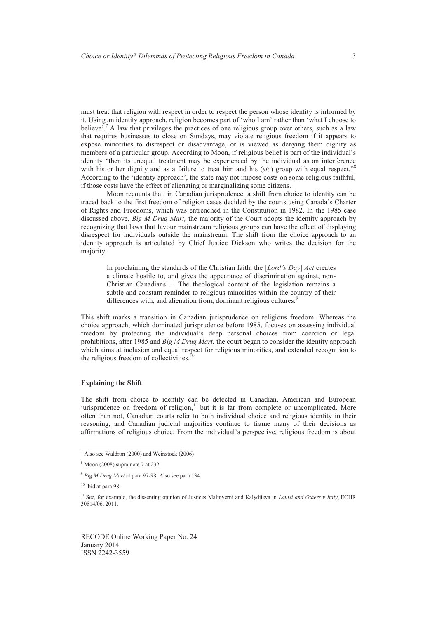must treat that religion with respect in order to respect the person whose identity is informed by it. Using an identity approach, religion becomes part of 'who I am' rather than 'what I choose to believe<sup>"</sup>.<sup>7</sup> A law that privileges the practices of one religious group over others, such as a law that requires businesses to close on Sundays, may violate religious freedom if it appears to expose minorities to disrespect or disadvantage, or is viewed as denying them dignity as members of a particular group. According to Moon, if religious belief is part of the individual's identity "then its unequal treatment may be experienced by the individual as an interference with his or her dignity and as a failure to treat him and his (sic) group with equal respect."<sup>8</sup> According to the 'identity approach', the state may not impose costs on some religious faithful, if those costs have the effect of alienating or marginalizing some citizens.

 Moon recounts that, in Canadian jurisprudence, a shift from choice to identity can be traced back to the first freedom of religion cases decided by the courts using Canada's Charter of Rights and Freedoms, which was entrenched in the Constitution in 1982. In the 1985 case discussed above, *Big M Drug Mart,* the majority of the Court adopts the identity approach by recognizing that laws that favour mainstream religious groups can have the effect of displaying disrespect for individuals outside the mainstream. The shift from the choice approach to an identity approach is articulated by Chief Justice Dickson who writes the decision for the majority:

In proclaiming the standards of the Christian faith, the [*Lord's Day*] *Act* creates a climate hostile to, and gives the appearance of discrimination against, non-Christian Canadians…. The theological content of the legislation remains a subtle and constant reminder to religious minorities within the country of their differences with, and alienation from, dominant religious cultures.<sup>9</sup>

This shift marks a transition in Canadian jurisprudence on religious freedom. Whereas the choice approach, which dominated jurisprudence before 1985, focuses on assessing individual freedom by protecting the individual's deep personal choices from coercion or legal prohibitions, after 1985 and *Big M Drug Mart*, the court began to consider the identity approach which aims at inclusion and equal respect for religious minorities, and extended recognition to the religious freedom of collectivities. $^{10}$ 

## **Explaining the Shift**

The shift from choice to identity can be detected in Canadian, American and European jurisprudence on freedom of religion, $11$  but it is far from complete or uncomplicated. More often than not, Canadian courts refer to both individual choice and religious identity in their reasoning, and Canadian judicial majorities continue to frame many of their decisions as affirmations of religious choice. From the individual's perspective, religious freedom is about

 $\overline{a}$ 

<sup>7</sup> Also see Waldron (2000) and Weinstock (2006)

<sup>8</sup> Moon (2008) supra note 7 at 232.

<sup>9</sup> *Big M Drug Mart* at para 97-98. Also see para 134.

<sup>&</sup>lt;sup>10</sup> Ibid at para 98.

<sup>&</sup>lt;sup>11</sup> See, for example, the dissenting opinion of Justices Malinverni and Kalydjieva in *Lautsi and Others v Italy*, ECHR 30814/06, 2011.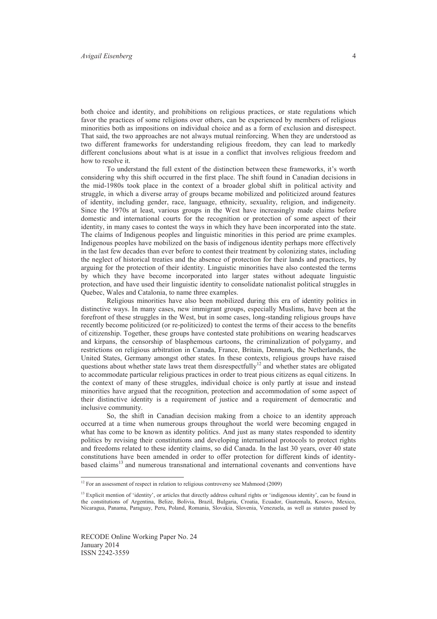both choice and identity, and prohibitions on religious practices, or state regulations which favor the practices of some religions over others, can be experienced by members of religious minorities both as impositions on individual choice and as a form of exclusion and disrespect. That said, the two approaches are not always mutual reinforcing. When they are understood as two different frameworks for understanding religious freedom, they can lead to markedly different conclusions about what is at issue in a conflict that involves religious freedom and how to resolve it.

To understand the full extent of the distinction between these frameworks, it's worth considering why this shift occurred in the first place. The shift found in Canadian decisions in the mid-1980s took place in the context of a broader global shift in political activity and struggle, in which a diverse array of groups became mobilized and politicized around features of identity, including gender, race, language, ethnicity, sexuality, religion, and indigeneity. Since the 1970s at least, various groups in the West have increasingly made claims before domestic and international courts for the recognition or protection of some aspect of their identity, in many cases to contest the ways in which they have been incorporated into the state. The claims of Indigenous peoples and linguistic minorities in this period are prime examples. Indigenous peoples have mobilized on the basis of indigenous identity perhaps more effectively in the last few decades than ever before to contest their treatment by colonizing states, including the neglect of historical treaties and the absence of protection for their lands and practices, by arguing for the protection of their identity. Linguistic minorities have also contested the terms by which they have become incorporated into larger states without adequate linguistic protection, and have used their linguistic identity to consolidate nationalist political struggles in Quebec, Wales and Catalonia, to name three examples.

 Religious minorities have also been mobilized during this era of identity politics in distinctive ways. In many cases, new immigrant groups, especially Muslims, have been at the forefront of these struggles in the West, but in some cases, long-standing religious groups have recently become politicized (or re-politicized) to contest the terms of their access to the benefits of citizenship. Together, these groups have contested state prohibitions on wearing headscarves and kirpans, the censorship of blasphemous cartoons, the criminalization of polygamy, and restrictions on religious arbitration in Canada, France, Britain, Denmark, the Netherlands, the United States, Germany amongst other states. In these contexts, religious groups have raised questions about whether state laws treat them disrespectfully<sup>12</sup> and whether states are obligated to accommodate particular religious practices in order to treat pious citizens as equal citizens. In the context of many of these struggles, individual choice is only partly at issue and instead minorities have argued that the recognition, protection and accommodation of some aspect of their distinctive identity is a requirement of justice and a requirement of democratic and inclusive community.

 So, the shift in Canadian decision making from a choice to an identity approach occurred at a time when numerous groups throughout the world were becoming engaged in what has come to be known as identity politics. And just as many states responded to identity politics by revising their constitutions and developing international protocols to protect rights and freedoms related to these identity claims, so did Canada. In the last 30 years, over 40 state constitutions have been amended in order to offer protection for different kinds of identitybased claims<sup>13</sup> and numerous transnational and international covenants and conventions have

<sup>&</sup>lt;sup>12</sup> For an assessment of respect in relation to religious controversy see Mahmood (2009)

<sup>&</sup>lt;sup>13</sup> Explicit mention of 'identity', or articles that directly address cultural rights or 'indigenous identity', can be found in the constitutions of Argentina, Belize, Bolivia, Brazil, Bulgaria, Croatia, Ecuador, Guatemala, Kosovo, Mexico, Nicaragua, Panama, Paraguay, Peru, Poland, Romania, Slovakia, Slovenia, Venezuela, as well as statutes passed by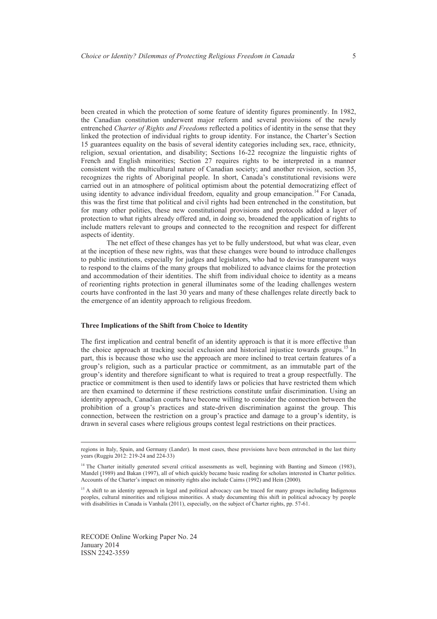been created in which the protection of some feature of identity figures prominently. In 1982, the Canadian constitution underwent major reform and several provisions of the newly entrenched *Charter of Rights and Freedoms* reflected a politics of identity in the sense that they linked the protection of individual rights to group identity. For instance, the Charter's Section 15 guarantees equality on the basis of several identity categories including sex, race, ethnicity, religion, sexual orientation, and disability; Sections 16-22 recognize the linguistic rights of French and English minorities; Section 27 requires rights to be interpreted in a manner consistent with the multicultural nature of Canadian society; and another revision, section 35, recognizes the rights of Aboriginal people. In short, Canada's constitutional revisions were carried out in an atmosphere of political optimism about the potential democratizing effect of using identity to advance individual freedom, equality and group emancipation.<sup>14</sup> For Canada, this was the first time that political and civil rights had been entrenched in the constitution, but for many other polities, these new constitutional provisions and protocols added a layer of protection to what rights already offered and, in doing so, broadened the application of rights to include matters relevant to groups and connected to the recognition and respect for different aspects of identity.

The net effect of these changes has yet to be fully understood, but what was clear, even at the inception of these new rights, was that these changes were bound to introduce challenges to public institutions, especially for judges and legislators, who had to devise transparent ways to respond to the claims of the many groups that mobilized to advance claims for the protection and accommodation of their identities. The shift from individual choice to identity as a means of reorienting rights protection in general illuminates some of the leading challenges western courts have confronted in the last 30 years and many of these challenges relate directly back to the emergence of an identity approach to religious freedom.

#### **Three Implications of the Shift from Choice to Identity**

The first implication and central benefit of an identity approach is that it is more effective than the choice approach at tracking social exclusion and historical injustice towards groups.<sup>15</sup> In part, this is because those who use the approach are more inclined to treat certain features of a group's religion, such as a particular practice or commitment, as an immutable part of the group's identity and therefore significant to what is required to treat a group respectfully. The practice or commitment is then used to identify laws or policies that have restricted them which are then examined to determine if these restrictions constitute unfair discrimination. Using an identity approach, Canadian courts have become willing to consider the connection between the prohibition of a group's practices and state-driven discrimination against the group. This connection, between the restriction on a group's practice and damage to a group's identity, is drawn in several cases where religious groups contest legal restrictions on their practices.

RECODE Online Working Paper No. 24 January 2014 ISSN 2242-3559

regions in Italy, Spain, and Germany (Lander). In most cases, these provisions have been entrenched in the last thirty years (Ruggiu 2012: 219-24 and 224-33)

<sup>&</sup>lt;sup>14</sup> The Charter initially generated several critical assessments as well, beginning with Banting and Simeon (1983), Mandel (1989) and Bakan (1997), all of which quickly became basic reading for scholars interested in Charter politics. Accounts of the Charter's impact on minority rights also include Cairns (1992) and Hein (2000).

<sup>&</sup>lt;sup>15</sup> A shift to an identity approach in legal and political advocacy can be traced for many groups including Indigenous peoples, cultural minorities and religious minorities. A study documenting this shift in political advocacy by people with disabilities in Canada is Vanhala (2011), especially, on the subject of Charter rights, pp. 57-61.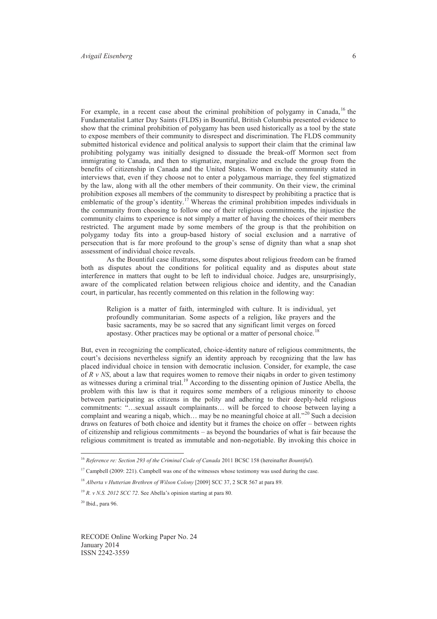For example, in a recent case about the criminal prohibition of polygamy in Canada,  $^{16}$  the Fundamentalist Latter Day Saints (FLDS) in Bountiful, British Columbia presented evidence to show that the criminal prohibition of polygamy has been used historically as a tool by the state to expose members of their community to disrespect and discrimination. The FLDS community submitted historical evidence and political analysis to support their claim that the criminal law prohibiting polygamy was initially designed to dissuade the break-off Mormon sect from immigrating to Canada, and then to stigmatize, marginalize and exclude the group from the benefits of citizenship in Canada and the United States. Women in the community stated in interviews that, even if they choose not to enter a polygamous marriage, they feel stigmatized by the law, along with all the other members of their community. On their view, the criminal prohibition exposes all members of the community to disrespect by prohibiting a practice that is emblematic of the group's identity.<sup>17</sup> Whereas the criminal prohibition impedes individuals in the community from choosing to follow one of their religious commitments, the injustice the community claims to experience is not simply a matter of having the choices of their members restricted. The argument made by some members of the group is that the prohibition on polygamy today fits into a group-based history of social exclusion and a narrative of persecution that is far more profound to the group's sense of dignity than what a snap shot assessment of individual choice reveals.

 As the Bountiful case illustrates, some disputes about religious freedom can be framed both as disputes about the conditions for political equality and as disputes about state interference in matters that ought to be left to individual choice. Judges are, unsurprisingly, aware of the complicated relation between religious choice and identity, and the Canadian court, in particular, has recently commented on this relation in the following way:

Religion is a matter of faith, intermingled with culture. It is individual, yet profoundly communitarian. Some aspects of a religion, like prayers and the basic sacraments, may be so sacred that any significant limit verges on forced apostasy. Other practices may be optional or a matter of personal choice.<sup>18</sup>

But, even in recognizing the complicated, choice-identity nature of religious commitments, the court's decisions nevertheless signify an identity approach by recognizing that the law has placed individual choice in tension with democratic inclusion. Consider, for example, the case of *R v NS*, about a law that requires women to remove their niqabs in order to given testimony as witnesses during a criminal trial.<sup>19</sup> According to the dissenting opinion of Justice Abella, the problem with this law is that it requires some members of a religious minority to choose between participating as citizens in the polity and adhering to their deeply-held religious commitments: "…sexual assault complainants… will be forced to choose between laying a complaint and wearing a niqab, which... may be no meaningful choice at all."<sup>20</sup> Such a decision draws on features of both choice and identity but it frames the choice on offer – between rights of citizenship and religious commitments – as beyond the boundaries of what is fair because the religious commitment is treated as immutable and non-negotiable. By invoking this choice in

 $\overline{a}$ 

<sup>16</sup> *Reference re: Section 293 of the Criminal Code of Canada* 2011 BCSC 158 (hereinafter *Bountiful*).

 $17$  Campbell (2009: 221). Campbell was one of the witnesses whose testimony was used during the case.

<sup>18</sup> *Alberta v Hutterian Brethren of Wilson Colony* [2009] SCC 37, 2 SCR 567 at para 89.

<sup>19</sup> *R. v N.S. 2012 SCC 72*. See Abella's opinion starting at para 80.

 $20$  Ibid., para 96.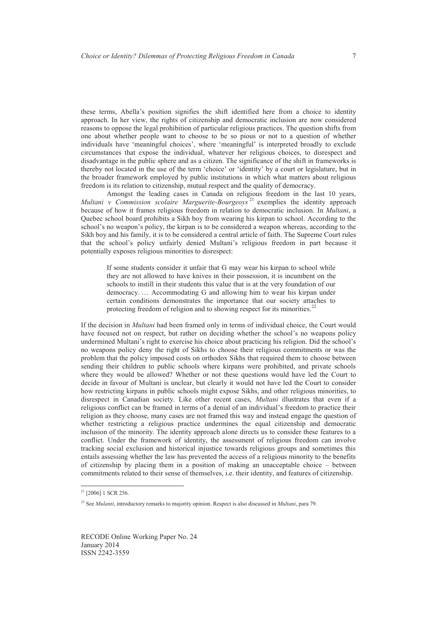these terms, Abella's position signifies the shift identified here from a choice to identity approach. In her view, the rights of citizenship and democratic inclusion are now considered reasons to oppose the legal prohibition of particular religious practices. The question shifts from one about whether people want to choose to be so pious or not to a question of whether individuals have 'meaningful choices', where 'meaningful' is interpreted broadly to exclude circumstances that expose the individual, whatever her religious choices, to disrespect and disadvantage in the public sphere and as a citizen. The significance of the shift in frameworks is thereby not located in the use of the term 'choice' or 'identity' by a court or legislature, but in the broader framework employed by public institutions in which what matters about religious freedom is its relation to citizenship, mutual respect and the quality of democracy.

 Amongst the leading cases in Canada on religious freedom in the last 10 years, *Multani v Commission scolaire Marguerite-Bourgeoys*<sup>21</sup> exemplies the identity approach because of how it frames religious freedom in relation to democratic inclusion. In *Multani*, a Quebec school board prohibits a Sikh boy from wearing his kirpan to school. According to the school's no weapon's policy, the kirpan is to be considered a weapon whereas, according to the Sikh boy and his family, it is to be considered a central article of faith. The Supreme Court rules that the school's policy unfairly denied Multani's religious freedom in part because it potentially exposes religious minorities to disrespect:

If some students consider it unfair that G may wear his kirpan to school while they are not allowed to have knives in their possession, it is incumbent on the schools to instill in their students this value that is at the very foundation of our democracy. … Accommodating G and allowing him to wear his kirpan under certain conditions demonstrates the importance that our society attaches to protecting freedom of religion and to showing respect for its minorities.<sup>22</sup>

If the decision in *Multani* had been framed only in terms of individual choice, the Court would have focused not on respect, but rather on deciding whether the school's no weapons policy undermined Multani's right to exercise his choice about practicing his religion. Did the school's no weapons policy deny the right of Sikhs to choose their religious commitments or was the problem that the policy imposed costs on orthodox Sikhs that required them to choose between sending their children to public schools where kirpans were prohibited, and private schools where they would be allowed? Whether or not these questions would have led the Court to decide in favour of Multani is unclear, but clearly it would not have led the Court to consider how restricting kirpans in public schools might expose Sikhs, and other religious minorities, to disrespect in Canadian society. Like other recent cases, *Multani* illustrates that even if a religious conflict can be framed in terms of a denial of an individual's freedom to practice their religion as they choose, many cases are not framed this way and instead engage the question of whether restricting a religious practice undermines the equal citizenship and democratic inclusion of the minority. The identity approach alone directs us to consider these features to a conflict. Under the framework of identity, the assessment of religious freedom can involve tracking social exclusion and historical injustice towards religious groups and sometimes this entails assessing whether the law has prevented the access of a religious minority to the benefits of citizenship by placing them in a position of making an unacceptable choice – between commitments related to their sense of themselves, i.e. their identity, and features of citizenship.

 $\overline{a}$ 

<sup>&</sup>lt;sup>21</sup> [2006] 1 SCR 256.

<sup>22</sup> See *Mulanti*, introductory remarks to majority opinion. Respect is also discussed in *Multani*, para 79.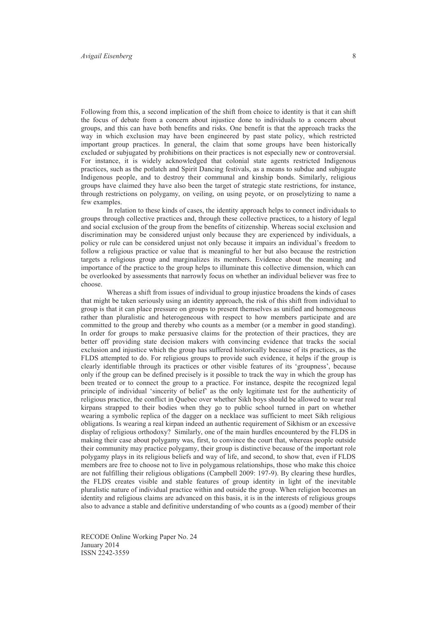Following from this, a second implication of the shift from choice to identity is that it can shift the focus of debate from a concern about injustice done to individuals to a concern about groups, and this can have both benefits and risks. One benefit is that the approach tracks the way in which exclusion may have been engineered by past state policy, which restricted important group practices. In general, the claim that some groups have been historically excluded or subjugated by prohibitions on their practices is not especially new or controversial. For instance, it is widely acknowledged that colonial state agents restricted Indigenous practices, such as the potlatch and Spirit Dancing festivals, as a means to subdue and subjugate Indigenous people, and to destroy their communal and kinship bonds. Similarly, religious groups have claimed they have also been the target of strategic state restrictions, for instance, through restrictions on polygamy, on veiling, on using peyote, or on proselytizing to name a few examples.

 In relation to these kinds of cases, the identity approach helps to connect individuals to groups through collective practices and, through these collective practices, to a history of legal and social exclusion of the group from the benefits of citizenship. Whereas social exclusion and discrimination may be considered unjust only because they are experienced by individuals, a policy or rule can be considered unjust not only because it impairs an individual's freedom to follow a religious practice or value that is meaningful to her but also because the restriction targets a religious group and marginalizes its members. Evidence about the meaning and importance of the practice to the group helps to illuminate this collective dimension, which can be overlooked by assessments that narrowly focus on whether an individual believer was free to choose.

 Whereas a shift from issues of individual to group injustice broadens the kinds of cases that might be taken seriously using an identity approach, the risk of this shift from individual to group is that it can place pressure on groups to present themselves as unified and homogeneous rather than pluralistic and heterogeneous with respect to how members participate and are committed to the group and thereby who counts as a member (or a member in good standing). In order for groups to make persuasive claims for the protection of their practices, they are better off providing state decision makers with convincing evidence that tracks the social exclusion and injustice which the group has suffered historically because of its practices, as the FLDS attempted to do. For religious groups to provide such evidence, it helps if the group is clearly identifiable through its practices or other visible features of its 'groupness', because only if the group can be defined precisely is it possible to track the way in which the group has been treated or to connect the group to a practice. For instance, despite the recognized legal principle of individual 'sincerity of belief' as the only legitimate test for the authenticity of religious practice, the conflict in Quebec over whether Sikh boys should be allowed to wear real kirpans strapped to their bodies when they go to public school turned in part on whether wearing a symbolic replica of the dagger on a necklace was sufficient to meet Sikh religious obligations. Is wearing a real kirpan indeed an authentic requirement of Sikhism or an excessive display of religious orthodoxy? Similarly, one of the main hurdles encountered by the FLDS in making their case about polygamy was, first, to convince the court that, whereas people outside their community may practice polygamy, their group is distinctive because of the important role polygamy plays in its religious beliefs and way of life, and second, to show that, even if FLDS members are free to choose not to live in polygamous relationships, those who make this choice are not fulfilling their religious obligations (Campbell 2009: 197-9). By clearing these hurdles, the FLDS creates visible and stable features of group identity in light of the inevitable pluralistic nature of individual practice within and outside the group. When religion becomes an identity and religious claims are advanced on this basis, it is in the interests of religious groups also to advance a stable and definitive understanding of who counts as a (good) member of their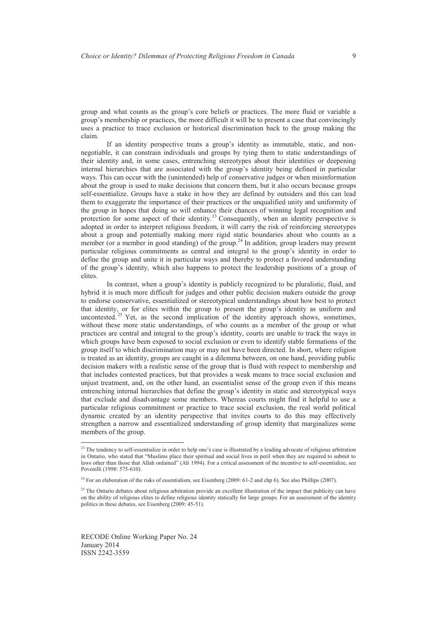group and what counts as the group's core beliefs or practices. The more fluid or variable a group's membership or practices, the more difficult it will be to present a case that convincingly uses a practice to trace exclusion or historical discrimination back to the group making the claim.

If an identity perspective treats a group's identity as immutable, static, and nonnegotiable, it can constrain individuals and groups by tying them to static understandings of their identity and, in some cases, entrenching stereotypes about their identities or deepening internal hierarchies that are associated with the group's identity being defined in particular ways. This can occur with the (unintended) help of conservative judges or when misinformation about the group is used to make decisions that concern them, but it also occurs because groups self-essentialize. Groups have a stake in how they are defined by outsiders and this can lead them to exaggerate the importance of their practices or the unqualified unity and uniformity of the group in hopes that doing so will enhance their chances of winning legal recognition and protection for some aspect of their identity.<sup>23</sup> Consequently, when an identity perspective is adopted in order to interpret religious freedom, it will carry the risk of reinforcing stereotypes about a group and potentially making more rigid static boundaries about who counts as a member (or a member in good standing) of the group.<sup>24</sup> In addition, group leaders may present particular religious commitments as central and integral to the group's identity in order to define the group and unite it in particular ways and thereby to protect a favored understanding of the group's identity, which also happens to protect the leadership positions of a group of elites.

 In contrast, when a group's identity is publicly recognized to be pluralistic, fluid, and hybrid it is much more difficult for judges and other public decision makers outside the group to endorse conservative, essentialized or stereotypical understandings about how best to protect that identity, or for elites within the group to present the group's identity as uniform and uncontested.<sup> $25$ </sup> Yet, as the second implication of the identity approach shows, sometimes, without these more static understandings, of who counts as a member of the group or what practices are central and integral to the group's identity, courts are unable to track the ways in which groups have been exposed to social exclusion or even to identify stable formations of the group itself to which discrimination may or may not have been directed. In short, where religion is treated as an identity, groups are caught in a dilemma between, on one hand, providing public decision makers with a realistic sense of the group that is fluid with respect to membership and that includes contested practices, but that provides a weak means to trace social exclusion and unjust treatment, and, on the other hand, an essentialist sense of the group even if this means entrenching internal hierarchies that define the group's identity in static and stereotypical ways that exclude and disadvantage some members. Whereas courts might find it helpful to use a particular religious commitment or practice to trace social exclusion, the real world political dynamic created by an identity perspective that invites courts to do this may effectively strengthen a narrow and essentialized understanding of group identity that marginalizes some members of the group.  $\overline{a}$ 

<sup>&</sup>lt;sup>23</sup> The tendency to self-essentialize in order to help one's case is illustrated by a leading advocate of religious arbitration in Ontario, who stated that "Muslims place their spiritual and social lives in peril when they are required to submit to laws other than those that Allah ordained" (Ali 1994). For a critical assessment of the incentive to self-essentialize, see Povenilli (1998: 575-610).

<sup>&</sup>lt;sup>24</sup> For an elaboration of the risks of essentialism, see Eisenberg (2009: 61-2 and chp 6). See also Phillips (2007).

<sup>&</sup>lt;sup>25</sup> The Ontario debates about religious arbitration provide an excellent illustration of the impact that publicity can have on the ability of religious elites to define religious identity statically for large groups. For an assessment of the identity politics in these debates, see Eisenberg (2009: 45-51).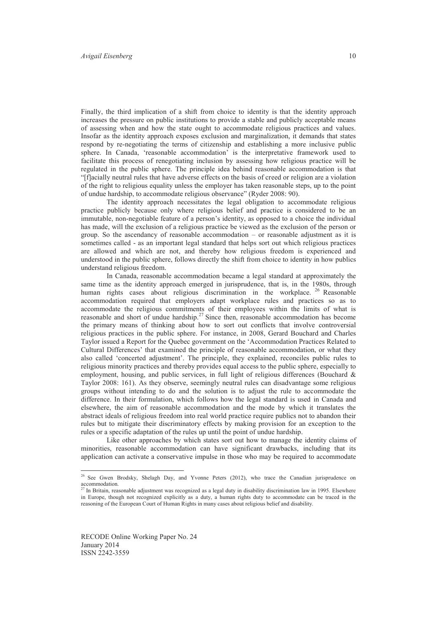Finally, the third implication of a shift from choice to identity is that the identity approach increases the pressure on public institutions to provide a stable and publicly acceptable means of assessing when and how the state ought to accommodate religious practices and values. Insofar as the identity approach exposes exclusion and marginalization, it demands that states respond by re-negotiating the terms of citizenship and establishing a more inclusive public sphere. In Canada, 'reasonable accommodation' is the interpretative framework used to facilitate this process of renegotiating inclusion by assessing how religious practice will be regulated in the public sphere. The principle idea behind reasonable accommodation is that "[f]acially neutral rules that have adverse effects on the basis of creed or religion are a violation of the right to religious equality unless the employer has taken reasonable steps, up to the point of undue hardship, to accommodate religious observance" (Ryder 2008: 90).

 The identity approach necessitates the legal obligation to accommodate religious practice publicly because only where religious belief and practice is considered to be an immutable, non-negotiable feature of a person's identity, as opposed to a choice the individual has made, will the exclusion of a religious practice be viewed as the exclusion of the person or group. So the ascendancy of reasonable accommodation  $-$  or reasonable adjustment as it is sometimes called - as an important legal standard that helps sort out which religious practices are allowed and which are not, and thereby how religious freedom is experienced and understood in the public sphere, follows directly the shift from choice to identity in how publics understand religious freedom.

 In Canada, reasonable accommodation became a legal standard at approximately the same time as the identity approach emerged in jurisprudence, that is, in the 1980s, through human rights cases about religious discrimination in the workplace. <sup>26</sup> Reasonable accommodation required that employers adapt workplace rules and practices so as to accommodate the religious commitments of their employees within the limits of what is reasonable and short of undue hardship.<sup>27</sup> Since then, reasonable accommodation has become the primary means of thinking about how to sort out conflicts that involve controversial religious practices in the public sphere. For instance, in 2008, Gerard Bouchard and Charles Taylor issued a Report for the Quebec government on the 'Accommodation Practices Related to Cultural Differences' that examined the principle of reasonable accommodation, or what they also called 'concerted adjustment'. The principle, they explained, reconciles public rules to religious minority practices and thereby provides equal access to the public sphere, especially to employment, housing, and public services, in full light of religious differences (Bouchard  $\&$ Taylor 2008: 161). As they observe, seemingly neutral rules can disadvantage some religious groups without intending to do and the solution is to adjust the rule to accommodate the difference. In their formulation, which follows how the legal standard is used in Canada and elsewhere, the aim of reasonable accommodation and the mode by which it translates the abstract ideals of religious freedom into real world practice require publics not to abandon their rules but to mitigate their discriminatory effects by making provision for an exception to the rules or a specific adaptation of the rules up until the point of undue hardship.

 Like other approaches by which states sort out how to manage the identity claims of minorities, reasonable accommodation can have significant drawbacks, including that its application can activate a conservative impulse in those who may be required to accommodate

<sup>&</sup>lt;sup>26</sup> See Gwen Brodsky, Shelagh Day, and Yvonne Peters (2012), who trace the Canadian jurisprudence on  $\frac{1}{27}$   $\frac{1}{27}$   $\frac{1}{27}$   $\frac{1}{27}$   $\frac{1}{27}$   $\frac{1}{27}$ 

In Britain, reasonable adjustment was recognized as a legal duty in disability discrimination law in 1995. Elsewhere in Europe, though not recognized explicitly as a duty, a human rights duty to accommodate can be traced in the reasoning of the European Court of Human Rights in many cases about religious belief and disability.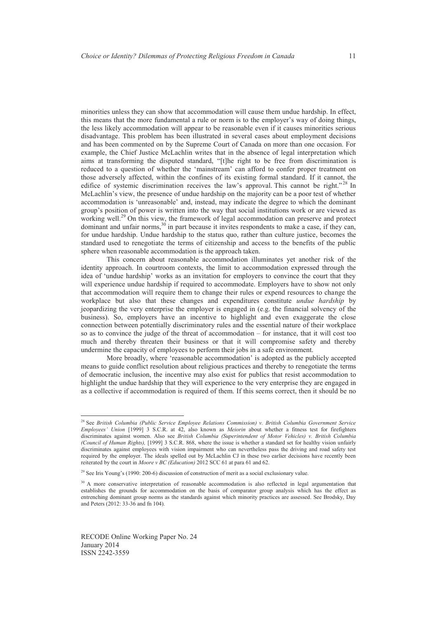minorities unless they can show that accommodation will cause them undue hardship. In effect, this means that the more fundamental a rule or norm is to the employer's way of doing things, the less likely accommodation will appear to be reasonable even if it causes minorities serious disadvantage. This problem has been illustrated in several cases about employment decisions and has been commented on by the Supreme Court of Canada on more than one occasion. For example, the Chief Justice McLachlin writes that in the absence of legal interpretation which aims at transforming the disputed standard, "[t]he right to be free from discrimination is reduced to a question of whether the 'mainstream' can afford to confer proper treatment on those adversely affected, within the confines of its existing formal standard. If it cannot, the edifice of systemic discrimination receives the law's approval. This cannot be right."<sup>28</sup> In McLachlin's view, the presence of undue hardship on the majority can be a poor test of whether accommodation is 'unreasonable' and, instead, may indicate the degree to which the dominant group's position of power is written into the way that social institutions work or are viewed as working well.<sup>29</sup> On this view, the framework of legal accommodation can preserve and protect dominant and unfair norms,<sup>30</sup> in part because it invites respondents to make a case, if they can, for undue hardship. Undue hardship to the status quo, rather than culture justice, becomes the standard used to renegotiate the terms of citizenship and access to the benefits of the public sphere when reasonable accommodation is the approach taken.

 This concern about reasonable accommodation illuminates yet another risk of the identity approach. In courtroom contexts, the limit to accommodation expressed through the idea of 'undue hardship' works as an invitation for employers to convince the court that they will experience undue hardship if required to accommodate. Employers have to show not only that accommodation will require them to change their rules or expend resources to change the workplace but also that these changes and expenditures constitute *undue hardship* by jeopardizing the very enterprise the employer is engaged in (e.g. the financial solvency of the business). So, employers have an incentive to highlight and even exaggerate the close connection between potentially discriminatory rules and the essential nature of their workplace so as to convince the judge of the threat of accommodation – for instance, that it will cost too much and thereby threaten their business or that it will compromise safety and thereby undermine the capacity of employees to perform their jobs in a safe environment.

 More broadly, where 'reasonable accommodation' is adopted as the publicly accepted means to guide conflict resolution about religious practices and thereby to renegotiate the terms of democratic inclusion, the incentive may also exist for publics that resist accommodation to highlight the undue hardship that they will experience to the very enterprise they are engaged in as a collective if accommodation is required of them. If this seems correct, then it should be no

RECODE Online Working Paper No. 24 January 2014 ISSN 2242-3559

<sup>28</sup> See *British Columbia (Public Service Employee Relations Commission) v. British Columbia Government Service Employees' Union* [1999] 3 S.C.R. at 42, also known as *Meiorin* about whether a fitness test for firefighters discriminates against women. Also see *British Columbia (Superintendent of Motor Vehicles) v. British Columbia (Council of Human Rights),* [1999] 3 S.C.R. 868, where the issue is whether a standard set for healthy vision unfairly discriminates against employees with vision impairment who can nevertheless pass the driving and road safety test required by the employer. The ideals spelled out by McLachlin CJ in these two earlier decisions have recently been reiterated by the court in *Moore v BC (Education)* 2012 SCC 61 at para 61 and 62.

<sup>&</sup>lt;sup>29</sup> See Iris Young's (1990: 200-6) discussion of construction of merit as a social exclusionary value.

<sup>&</sup>lt;sup>30</sup> A more conservative interpretation of reasonable accommodation is also reflected in legal argumentation that establishes the grounds for accommodation on the basis of comparator group analysis which has the effect as entrenching dominant group norms as the standards against which minority practices are assessed. See Brodsky, Day and Peters (2012: 33-36 and fn 104).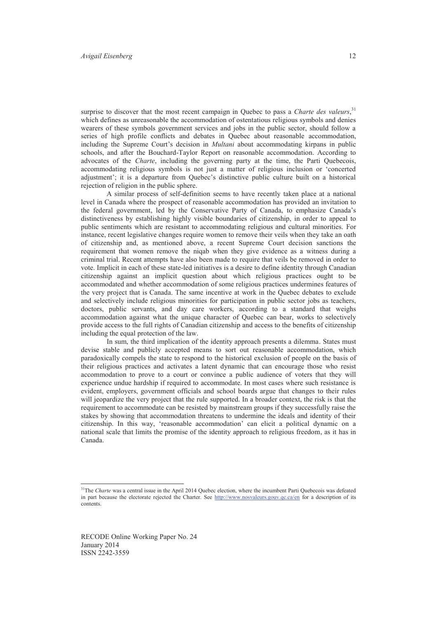surprise to discover that the most recent campaign in Quebec to pass a *Charte des valeurs*,<sup>31</sup> which defines as unreasonable the accommodation of ostentatious religious symbols and denies wearers of these symbols government services and jobs in the public sector, should follow a series of high profile conflicts and debates in Quebec about reasonable accommodation, including the Supreme Court's decision in *Multani* about accommodating kirpans in public schools, and after the Bouchard-Taylor Report on reasonable accommodation. According to advocates of the *Charte*, including the governing party at the time, the Parti Quebecois, accommodating religious symbols is not just a matter of religious inclusion or 'concerted adjustment'; it is a departure from Quebec's distinctive public culture built on a historical rejection of religion in the public sphere.

 A similar process of self-definition seems to have recently taken place at a national level in Canada where the prospect of reasonable accommodation has provided an invitation to the federal government, led by the Conservative Party of Canada, to emphasize Canada's distinctiveness by establishing highly visible boundaries of citizenship, in order to appeal to public sentiments which are resistant to accommodating religious and cultural minorities. For instance, recent legislative changes require women to remove their veils when they take an oath of citizenship and, as mentioned above, a recent Supreme Court decision sanctions the requirement that women remove the niqab when they give evidence as a witness during a criminal trial. Recent attempts have also been made to require that veils be removed in order to vote. Implicit in each of these state-led initiatives is a desire to define identity through Canadian citizenship against an implicit question about which religious practices ought to be accommodated and whether accommodation of some religious practices undermines features of the very project that is Canada. The same incentive at work in the Quebec debates to exclude and selectively include religious minorities for participation in public sector jobs as teachers, doctors, public servants, and day care workers, according to a standard that weighs accommodation against what the unique character of Quebec can bear, works to selectively provide access to the full rights of Canadian citizenship and access to the benefits of citizenship including the equal protection of the law.

 In sum, the third implication of the identity approach presents a dilemma. States must devise stable and publicly accepted means to sort out reasonable accommodation, which paradoxically compels the state to respond to the historical exclusion of people on the basis of their religious practices and activates a latent dynamic that can encourage those who resist accommodation to prove to a court or convince a public audience of voters that they will experience undue hardship if required to accommodate. In most cases where such resistance is evident, employers, government officials and school boards argue that changes to their rules will jeopardize the very project that the rule supported. In a broader context, the risk is that the requirement to accommodate can be resisted by mainstream groups if they successfully raise the stakes by showing that accommodation threatens to undermine the ideals and identity of their citizenship. In this way, 'reasonable accommodation' can elicit a political dynamic on a national scale that limits the promise of the identity approach to religious freedom, as it has in Canada.

<sup>&</sup>lt;sup>31</sup>The *Charte* was a central issue in the April 2014 Quebec election, where the incumbent Parti Quebecois was defeated in part because the electorate rejected the Charter. See http://www.nosvaleurs.gouv.qc.ca/en for a description of its contents.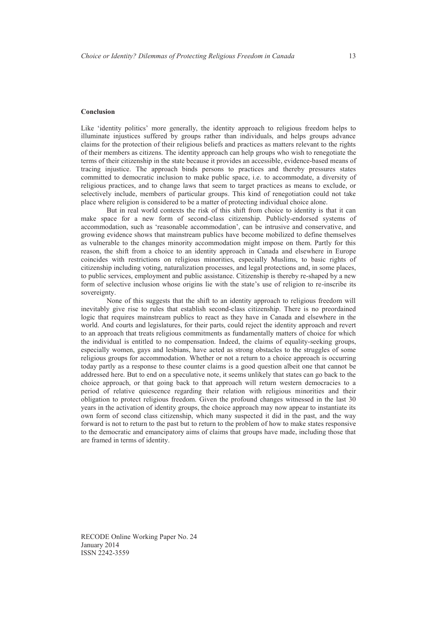#### **Conclusion**

Like 'identity politics' more generally, the identity approach to religious freedom helps to illuminate injustices suffered by groups rather than individuals, and helps groups advance claims for the protection of their religious beliefs and practices as matters relevant to the rights of their members as citizens. The identity approach can help groups who wish to renegotiate the terms of their citizenship in the state because it provides an accessible, evidence-based means of tracing injustice. The approach binds persons to practices and thereby pressures states committed to democratic inclusion to make public space, i.e. to accommodate, a diversity of religious practices, and to change laws that seem to target practices as means to exclude, or selectively include, members of particular groups. This kind of renegotiation could not take place where religion is considered to be a matter of protecting individual choice alone.

 But in real world contexts the risk of this shift from choice to identity is that it can make space for a new form of second-class citizenship. Publicly-endorsed systems of accommodation, such as 'reasonable accommodation', can be intrusive and conservative, and growing evidence shows that mainstream publics have become mobilized to define themselves as vulnerable to the changes minority accommodation might impose on them. Partly for this reason, the shift from a choice to an identity approach in Canada and elsewhere in Europe coincides with restrictions on religious minorities, especially Muslims, to basic rights of citizenship including voting, naturalization processes, and legal protections and, in some places, to public services, employment and public assistance. Citizenship is thereby re-shaped by a new form of selective inclusion whose origins lie with the state's use of religion to re-inscribe its sovereignty.

 None of this suggests that the shift to an identity approach to religious freedom will inevitably give rise to rules that establish second-class citizenship. There is no preordained logic that requires mainstream publics to react as they have in Canada and elsewhere in the world. And courts and legislatures, for their parts, could reject the identity approach and revert to an approach that treats religious commitments as fundamentally matters of choice for which the individual is entitled to no compensation. Indeed, the claims of equality-seeking groups, especially women, gays and lesbians, have acted as strong obstacles to the struggles of some religious groups for accommodation. Whether or not a return to a choice approach is occurring today partly as a response to these counter claims is a good question albeit one that cannot be addressed here. But to end on a speculative note, it seems unlikely that states can go back to the choice approach, or that going back to that approach will return western democracies to a period of relative quiescence regarding their relation with religious minorities and their obligation to protect religious freedom. Given the profound changes witnessed in the last 30 years in the activation of identity groups, the choice approach may now appear to instantiate its own form of second class citizenship, which many suspected it did in the past, and the way forward is not to return to the past but to return to the problem of how to make states responsive to the democratic and emancipatory aims of claims that groups have made, including those that are framed in terms of identity.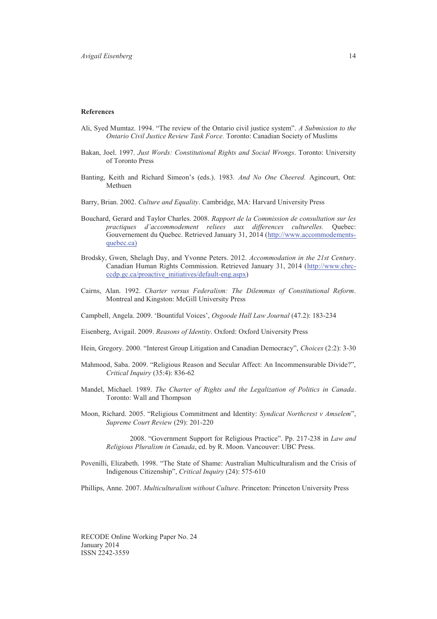#### **References**

- Ali, Syed Mumtaz. 1994. "The review of the Ontario civil justice system". *A Submission to the Ontario Civil Justice Review Task Force.* Toronto: Canadian Society of Muslims
- Bakan, Joel. 1997. *Just Words: Constitutional Rights and Social Wrongs*. Toronto: University of Toronto Press
- Banting, Keith and Richard Simeon's (eds.). 1983*. And No One Cheered.* Agincourt, Ont: Methuen
- Barry, Brian. 2002. *Culture and Equality*. Cambridge, MA: Harvard University Press
- Bouchard, Gerard and Taylor Charles. 2008. *Rapport de la Commission de consultation sur les practiques d'accommodement reliees aux differences culturelles.* Quebec: Gouvernement du Quebec. Retrieved January 31, 2014 (http://www.accommodementsquebec.ca)
- Brodsky, Gwen, Shelagh Day, and Yvonne Peters. 2012. *Accommodation in the 21st Century*. Canadian Human Rights Commission. Retrieved January 31, 2014 (http://www.chrcccdp.gc.ca/proactive\_initiatives/default-eng.aspx)
- Cairns, Alan. 1992. *Charter versus Federalism: The Dilemmas of Constitutional Reform*. Montreal and Kingston: McGill University Press
- Campbell, Angela. 2009. 'Bountiful Voices', *Osgoode Hall Law Journal* (47.2): 183-234
- Eisenberg, Avigail. 2009. *Reasons of Identity*. Oxford: Oxford University Press
- Hein, Gregory. 2000. "Interest Group Litigation and Canadian Democracy", *Choices* (2:2): 3-30
- Mahmood, Saba. 2009. "Religious Reason and Secular Affect: An Incommensurable Divide?", *Critical Inquiry* (35:4): 836-62
- Mandel, Michael. 1989. *The Charter of Rights and the Legalization of Politics in Canada*. Toronto: Wall and Thompson
- Moon, Richard. 2005. "Religious Commitment and Identity: *Syndicat Northcrest v Amselem*", *Supreme Court Review* (29): 201-220
	- 2008. "Government Support for Religious Practice". Pp. 217-238 in *Law and Religious Pluralism in Canada*, ed. by R. Moon. Vancouver: UBC Press.
- Povenilli, Elizabeth. 1998. "The State of Shame: Australian Multiculturalism and the Crisis of Indigenous Citizenship", *Critical Inquiry* (24): 575-610

Phillips, Anne. 2007. *Multiculturalism without Culture*. Princeton: Princeton University Press